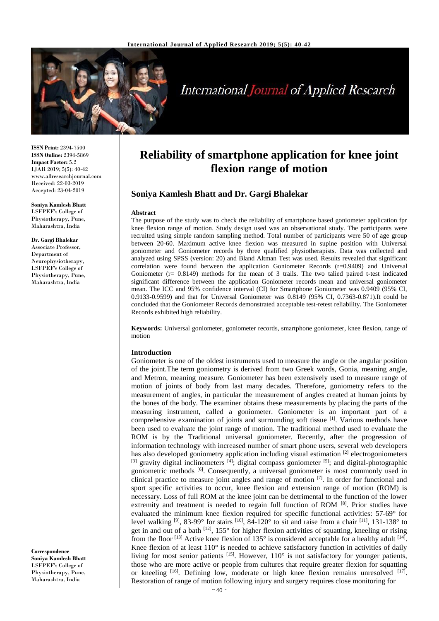

# **International Journal of Applied Research**

**ISSN Print:** 2394-7500 **ISSN Online:** 2394-5869 **Impact Factor:** 5.2 IJAR 2019; 5(5): 40-42 www.allresearchjournal.com Received: 22-03-2019 Accepted: 23-04-2019

**Soniya Kamlesh Bhatt** LSFPEF's College of Physiotherapy, Pune, Maharashtra, India

**Dr. Gargi Bhalekar** Associate Professor,

Department of Neurophysiotherapy, LSFPEF's College of Physiotherapy, Pune, Maharashtra, India

**Correspondence Soniya Kamlesh Bhatt** LSFPEF's College of Physiotherapy, Pune, Maharashtra, India

## **Reliability of smartphone application for knee joint flexion range of motion**

#### **Soniya Kamlesh Bhatt and Dr. Gargi Bhalekar**

#### **Abstract**

The purpose of the study was to check the reliability of smartphone based goniometer application fpr knee flexion range of motion. Study design used was an observational study. The participants were recruited using simple random sampling method. Total number of participants were 50 of age group between 20-60. Maximum active knee flexion was measured in supine position with Universal goniometer and Goniometer records by three qualified physiotherapists. Data was collected and analyzed using SPSS (version: 20) and Bland Altman Test was used. Results revealed that significant correlation were found between the application Goniometer Records  $(r=0.9409)$  and Universal Goniometer  $(r= 0.8149)$  methods for the mean of 3 trails. The two talied paired t-test indicated significant difference between the application Goniometer records mean and universal goniometer mean. The ICC and 95% confidence interval (CI) for Smartphone Goniometer was 0.9409 (95% CI, 0.9133-0.9599) and that for Universal Goniometer was 0.8149 (95% CI, 0.7363-0.871).It could be concluded that the Goniometer Records demonstrated acceptable test-retest reliability. The Goniometer Records exhibited high reliability.

**Keywords:** Universal goniometer, goniometer records, smartphone goniometer, knee flexion, range of motion

#### **Introduction**

Goniometer is one of the oldest instruments used to measure the angle or the angular position of the joint.The term goniometry is derived from two Greek words, Gonia, meaning angle, and Metron, meaning measure. Goniometer has been extensively used to measure range of motion of joints of body from last many decades. Therefore, goniometry refers to the measurement of angles, in particular the measurement of angles created at human joints by the bones of the body. The examiner obtains these measurements by placing the parts of the measuring instrument, called a goniometer. Goniometer is an important part of a comprehensive examination of joints and surrounding soft tissue [1] . Various methods have been used to evaluate the joint range of motion. The traditional method used to evaluate the ROM is by the Traditional universal goniometer. Recently, after the progression of information technology with increased number of smart phone users, several web developers has also developed goniometry application including visual estimation <sup>[2]</sup> electrogoniometers <sup>[3]</sup> gravity digital inclinometers <sup>[4]</sup>; digital compass goniometer <sup>[5]</sup>; and digital-photographic goniometric methods <sup>[6]</sup>. Consequently, a universal goniometer is most commonly used in clinical practice to measure joint angles and range of motion  $[7]$ . In order for functional and sport specific activities to occur, knee flexion and extension range of motion (ROM) is necessary. Loss of full ROM at the knee joint can be detrimental to the function of the lower extremity and treatment is needed to regain full function of ROM [8]. Prior studies have evaluated the minimum knee flexion required for specific functional activities: 57-69° for level walking <sup>[9]</sup>, 83-99° for stairs <sup>[10]</sup>, 84-120° to sit and raise from a chair <sup>[11]</sup>, 131-138° to get in and out of a bath <sup>[12]</sup>, 155° for higher flexion activities of squatting, kneeling or rising from the floor  $^{[13]}$  Active knee flexion of 135° is considered acceptable for a healthy adult  $^{[14]}$ . Knee flexion of at least  $110^{\circ}$  is needed to achieve satisfactory function in activities of daily living for most senior patients [15]. However, 110° is not satisfactory for younger patients, those who are more active or people from cultures that require greater flexion for squatting or kneeling <sup>[16]</sup>. Defining low, moderate or high knee flexion remains unresolved <sup>[17]</sup>. Restoration of range of motion following injury and surgery requires close monitoring for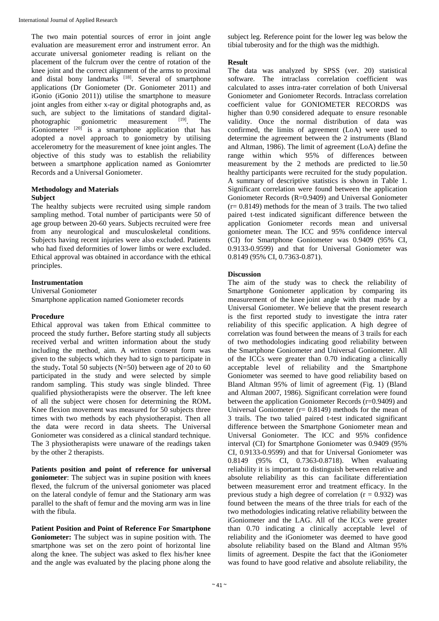The two main potential sources of error in joint angle evaluation are measurement error and instrument error. An accurate universal goniometer reading is reliant on the placement of the fulcrum over the centre of rotation of the knee joint and the correct alignment of the arms to proximal and distal bony landmarks [18]. Several of smartphone applications (Dr Goniometer (Dr. Goniometer 2011) and iGonio (iGonio 2011)) utilise the smartphone to measure joint angles from either x-ray or digital photographs and, as such, are subject to the limitations of standard digitalphotographic goniometric measurement [19]. The iGoniometer  $[20]$  is a smartphone application that has adopted a novel approach to goniometry by utilising accelerometry for the measurement of knee joint angles. The objective of this study was to establish the reliability between a smartphone application named as Goniomrter Records and a Universal Goniometer.

#### **Methodology and Materials Subject**

The healthy subjects were recruited using simple random sampling method. Total number of participants were 50 of age group between 20-60 years. Subjects recruited were free from any neurological and musculoskeletal conditions. Subjects having recent injuries were also excluded. Patients who had fixed deformities of lower limbs or were excluded. Ethical approval was obtained in accordance with the ethical principles.

#### **Instrumentation**

Universal Goniometer Smartphone application named Goniometer records

#### **Procedure**

Ethical approval was taken from Ethical committee to proceed the study further**.** Before starting study all subjects received verbal and written information about the study including the method, aim. A written consent form was given to the subjects which they had to sign to participate in the study**.** Total 50 subjects (N=50) between age of 20 to 60 participated in the study and were selected by simple random sampling. This study was single blinded. Three qualified physiotherapists were the observer. The left knee of all the subject were chosen for determining the ROM**.**  Knee flexion movement was measured for 50 subjects three times with two methods by each physiotherapist. Then all the data were record in data sheets. The Universal Goniometer was considered as a clinical standard technique. The 3 physiotherapists were unaware of the readings taken by the other 2 therapists.

**Patients position and point of reference for universal goniometer**: The subject was in supine position with knees flexed, the fulcrum of the universal goniometer was placed on the lateral condyle of femur and the Stationary arm was parallel to the shaft of femur and the moving arm was in line with the fibula.

**Patient Position and Point of Reference For Smartphone Goniometer:** The subject was in supine position with. The smartphone was set on the zero point of horizontal line along the knee. The subject was asked to flex his/her knee and the angle was evaluated by the placing phone along the subject leg. Reference point for the lower leg was below the tibial tuberosity and for the thigh was the midthigh.

#### **Result**

The data was analyzed by SPSS (ver. 20) statistical software. The intraclass correlation coefficient was calculated to asses intra-rater correlation of both Universal Goniometer and Goniometer Records. Intraclass correlation coefficient value for GONIOMETER RECORDS was higher than 0.90 considered adequate to ensure resonable validity. Once the normal distribution of data was confirmed, the limits of agreement (LoA) were used to determine the agreement between the 2 instruments (Bland and Altman, 1986). The limit of agreement (LoA) define the range within which 95% of differences between measurement by the 2 methods are predicted to lie.50 healthy participants were recruited for the study population. A summary of descriptive statistics is shown in Table 1. Significant correlation were found between the application Goniometer Records (R=0.9409) and Universal Goniometer  $(r= 0.8149)$  methods for the mean of 3 trails. The two talied paired t-test indicated significant difference between the application Goniometer records mean and universal goniometer mean. The ICC and 95% confidence interval (CI) for Smartphone Goniometer was 0.9409 (95% CI, 0.9133-0.9599) and that for Universal Goniometer was 0.8149 (95% CI, 0.7363-0.871).

### **Discussion**

The aim of the study was to check the reliability of Smartphone Goniometer application by comparing its measurement of the knee joint angle with that made by a Universal Goniometer. We believe that the present research is the first reported study to investigate the intra rater reliability of this specific application. A high degree of correlation was found between the means of 3 trails for each of two methodologies indicating good reliability between the Smartphone Goniometer and Universal Goniometer. All of the ICCs were greater than 0.70 indicating a clinically acceptable level of reliability and the Smartphone Goniometer was seemed to have good reliability based on Bland Altman 95% of limit of agreement (Fig. 1) (Bland and Altman 2007, 1986). Significant correlation were found between the application Goniometer Records (r=0.9409) and Universal Goniometer  $(r= 0.8149)$  methods for the mean of 3 trails. The two talied paired t-test indicated significant difference between the Smartphone Goniometer mean and Universal Goniometer. The ICC and 95% confidence interval (CI) for Smartphone Goniometer was 0.9409 (95% CI, 0.9133-0.9599) and that for Universal Goniometer was 0.8149 (95% CI, 0.7363-0.8718). When evaluating reliability it is important to distinguish between relative and absolute reliability as this can facilitate differentiation between measurement error and treatment efficacy. In the previous study a high degree of correlation  $(r = 0.932)$  was found between the means of the three trials for each of the two methodologies indicating relative reliability between the iGoniometer and the LAG. All of the ICCs were greater than 0.70 indicating a clinically acceptable level of reliability and the iGoniometer was deemed to have good absolute reliability based on the Bland and Altman 95% limits of agreement. Despite the fact that the iGoniometer was found to have good relative and absolute reliability, the